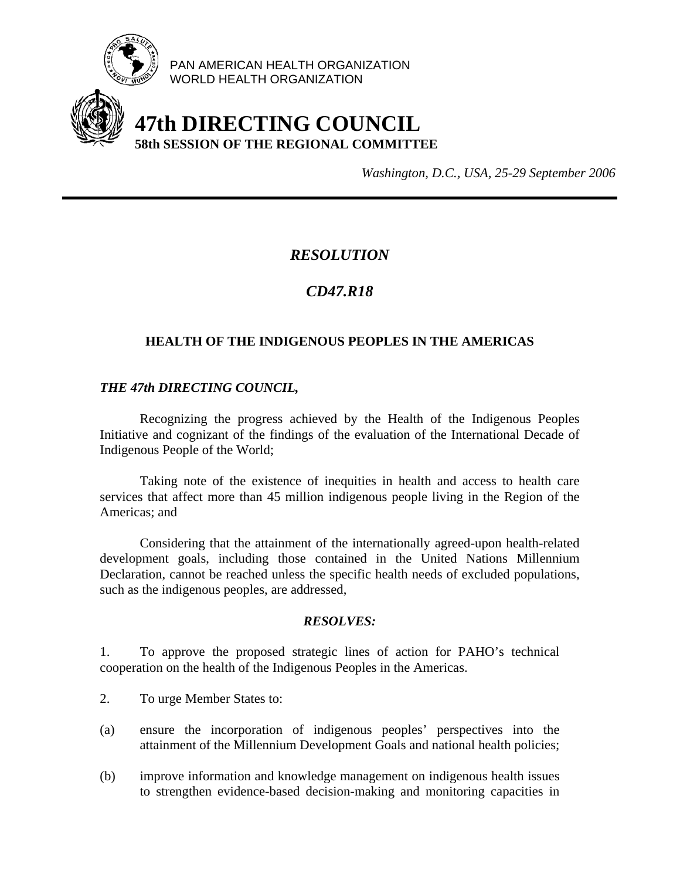

PAN AMERICAN HEALTH ORGANIZATION WORLD HEALTH ORGANIZATION

# **47th DIRECTING COUNCIL 58th SESSION OF THE REGIONAL COMMITTEE**

*Washington, D.C., USA, 25-29 September 2006*

## *RESOLUTION*

# *CD47.R18*

### **HEALTH OF THE INDIGENOUS PEOPLES IN THE AMERICAS**

#### *THE 47th DIRECTING COUNCIL,*

 Recognizing the progress achieved by the Health of the Indigenous Peoples Initiative and cognizant of the findings of the evaluation of the International Decade of Indigenous People of the World;

 Taking note of the existence of inequities in health and access to health care services that affect more than 45 million indigenous people living in the Region of the Americas; and

 Considering that the attainment of the internationally agreed-upon health-related development goals, including those contained in the United Nations Millennium Declaration, cannot be reached unless the specific health needs of excluded populations, such as the indigenous peoples, are addressed,

#### *RESOLVES:*

1. To approve the proposed strategic lines of action for PAHO's technical cooperation on the health of the Indigenous Peoples in the Americas.

- 2. To urge Member States to:
- (a) ensure the incorporation of indigenous peoples' perspectives into the attainment of the Millennium Development Goals and national health policies;
- (b) improve information and knowledge management on indigenous health issues to strengthen evidence-based decision-making and monitoring capacities in